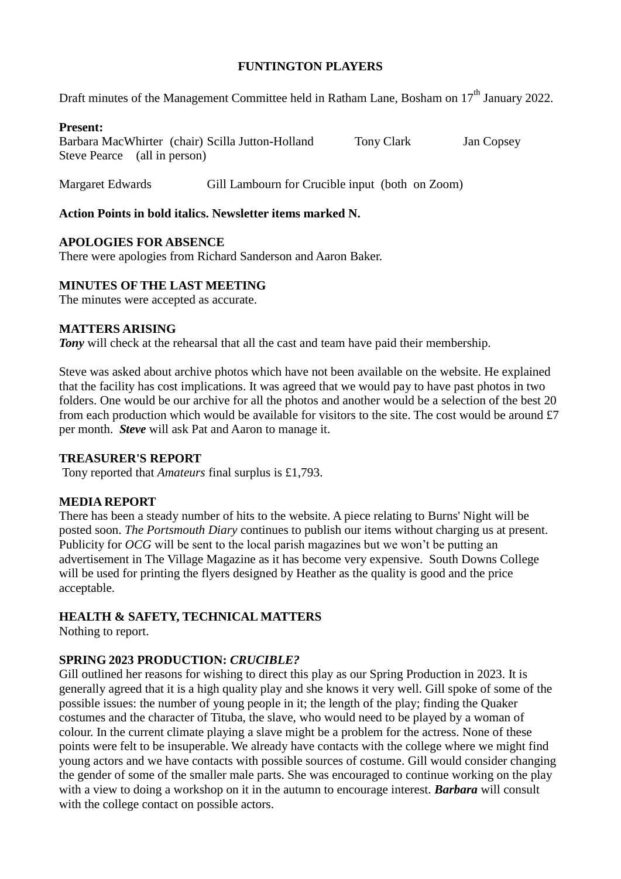## **FUNTINGTON PLAYERS**

Draft minutes of the Management Committee held in Ratham Lane, Bosham on 17<sup>th</sup> January 2022.

### **Present:**

Barbara MacWhirter (chair) Scilla Jutton-Holland Tony Clark Jan Copsey Steve Pearce (all in person)

Margaret Edwards Gill Lambourn for Crucible input (both on Zoom)

## **Action Points in bold italics. Newsletter items marked N.**

## **APOLOGIES FOR ABSENCE**

There were apologies from Richard Sanderson and Aaron Baker.

# **MINUTES OF THE LAST MEETING**

The minutes were accepted as accurate.

# **MATTERS ARISING**

*Tony* will check at the rehearsal that all the cast and team have paid their membership.

Steve was asked about archive photos which have not been available on the website. He explained that the facility has cost implications. It was agreed that we would pay to have past photos in two folders. One would be our archive for all the photos and another would be a selection of the best 20 from each production which would be available for visitors to the site. The cost would be around £7 per month. *Steve* will ask Pat and Aaron to manage it.

### **TREASURER'S REPORT**

Tony reported that *Amateurs* final surplus is £1,793.

### **MEDIA REPORT**

There has been a steady number of hits to the website. A piece relating to Burns' Night will be posted soon. *The Portsmouth Diary* continues to publish our items without charging us at present. Publicity for *OCG* will be sent to the local parish magazines but we won't be putting an advertisement in The Village Magazine as it has become very expensive. South Downs College will be used for printing the flyers designed by Heather as the quality is good and the price acceptable.

# **HEALTH & SAFETY, TECHNICAL MATTERS**

Nothing to report.

# **SPRING 2023 PRODUCTION:** *CRUCIBLE?*

Gill outlined her reasons for wishing to direct this play as our Spring Production in 2023. It is generally agreed that it is a high quality play and she knows it very well. Gill spoke of some of the possible issues: the number of young people in it; the length of the play; finding the Quaker costumes and the character of Tituba, the slave, who would need to be played by a woman of colour. In the current climate playing a slave might be a problem for the actress. None of these points were felt to be insuperable. We already have contacts with the college where we might find young actors and we have contacts with possible sources of costume. Gill would consider changing the gender of some of the smaller male parts. She was encouraged to continue working on the play with a view to doing a workshop on it in the autumn to encourage interest. *Barbara* will consult with the college contact on possible actors.